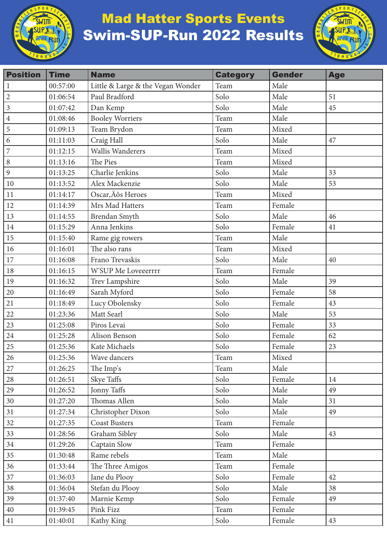

## Mad Hatter Sports Events Swim-SUP-Run 2022 Results



| <b>Position</b> | <b>Time</b> | <b>Name</b>                       | <b>Category</b> | <b>Gender</b> | <b>Age</b> |
|-----------------|-------------|-----------------------------------|-----------------|---------------|------------|
| $\mathbf{1}$    | 00:57:00    | Little & Large & the Vegan Wonder | Team            | Male          |            |
| $\overline{2}$  | 01:06:54    | Paul Bradford                     | Solo            | Male          | 51         |
| $\overline{3}$  | 01:07:42    | Dan Kemp                          | Solo            | Male          | 45         |
| $\overline{4}$  | 01:08:46    | <b>Booley Worriers</b>            | Team            | Male          |            |
| 5               | 01:09:13    | Team Brydon                       | Team            | Mixed         |            |
| $\sqrt{6}$      | 01:11:03    | Craig Hall                        | Solo            | Male          | 47         |
| $\overline{7}$  | 01:12:15    | Wallis Wanderers                  | Team            | Mixed         |            |
| $\,8\,$         | 01:13:16    | The Pies                          | Team            | Mixed         |            |
| $\mathfrak{g}$  | 01:13:25    | Charlie Jenkins                   | Solo            | Male          | 33         |
| 10              | 01:13:52    | Alex Mackenzie                    | Solo            | Male          | 53         |
| 11              | 01:14:17    | Oscar, Äôs Heroes                 | Team            | Mixed         |            |
| 12              | 01:14:39    | Mrs Mad Hatters                   | Team            | Female        |            |
| 13              | 01:14:55    | Brendan Smyth                     | Solo            | Male          | 46         |
| $14\,$          | 01:15:29    | Anna Jenkins                      | Solo            | Female        | 41         |
| 15              | 01:15:40    | Rame gig rowers                   | Team            | Male          |            |
| 16              | 01:16:01    | The also rans                     | Team            | Mixed         |            |
| 17              | 01:16:08    | Frano Trevaskis                   | Solo            | Male          | 40         |
| 18              | 01:16:15    | W'SUP Me Loveeerrrr               | Team            | Female        |            |
| 19              | 01:16:32    | Trev Lampshire                    | Solo            | Male          | 39         |
| 20              | 01:16:49    | Sarah Myford                      | Solo            | Female        | 58         |
| 21              | 01:18:49    | Lucy Obolensky                    | Solo            | Female        | 43         |
| 22              | 01:23:36    | Matt Searl                        | Solo            | Male          | 53         |
| 23              | 01:25:08    | Piros Levai                       | Solo            | Female        | 33         |
| $24\,$          | 01:25:28    | Alison Benson                     | Solo            | Female        | 62         |
| 25              | 01:25:36    | Kate Michaels                     | Solo            | Female        | 23         |
| 26              | 01:25:36    | Wave dancers                      | Team            | Mixed         |            |
| 27              | 01:26:25    | The Imp's                         | Team            | Male          |            |
| 28              | 01:26:51    | Skye Taffs                        | Solo            | Female        | 14         |
| 29              | 01:26:52    | Jonny Taffs                       | Solo            | Male          | 49         |
| 30              | 01:27:20    | Thomas Allen                      | Solo            | Male          | 31         |
| 31              | 01:27:34    | Christopher Dixon                 | Solo            | Male          | 49         |
| 32              | 01:27:35    | <b>Coast Busters</b>              | Team            | Female        |            |
| 33              | 01:28:56    | Graham Sibley                     | Solo            | Male          | 43         |
| 34              | 01:29:26    | Captain Slow                      | Team            | Female        |            |
| 35              | 01:30:48    | Rame rebels                       | Team            | Male          |            |
| 36              | 01:33:44    | The Three Amigos                  | Team            | Female        |            |
| 37              | 01:36:03    | Jane du Plooy                     | Solo            | Female        | 42         |
| 38              | 01:36:04    | Stefan du Plooy                   | Solo            | Male          | 38         |
| 39              | 01:37:40    | Marnie Kemp                       | Solo            | Female        | 49         |
| 40              | 01:39:45    | Pink Fizz                         | Team            | Female        |            |
| 41              | 01:40:01    | Kathy King                        | Solo            | Female        | 43         |